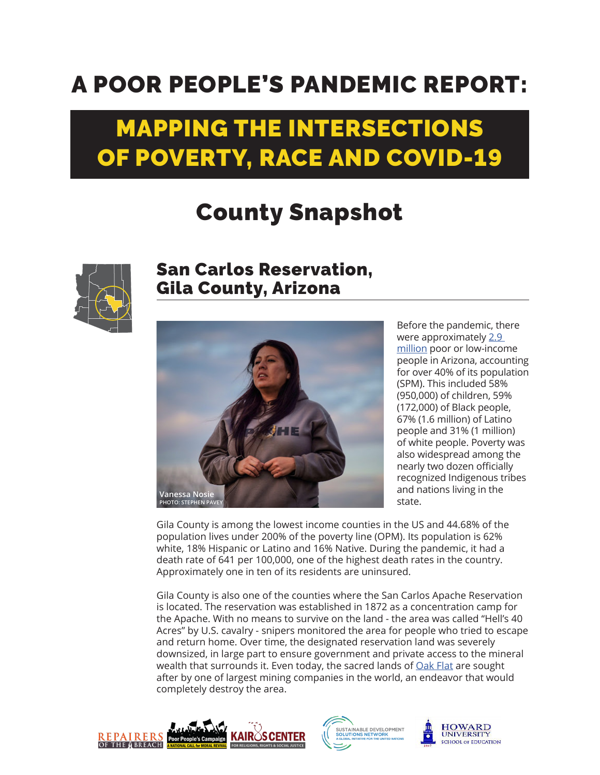## A POOR PEOPLE'S PANDEMIC REPORT:

## MAPPING THE INTERSECTIONS OF POVERTY, RACE AND COVID-19

## County Snapshot



## San Carlos Reservation, Gila County, Arizona



Before the pandemic, there were approximately [2.9](https://www.poorpeoplescampaign.org/wp-content/uploads/2020/03/PPC-state-fact-sheet-Arizona.pdf)  [million](https://www.poorpeoplescampaign.org/wp-content/uploads/2020/03/PPC-state-fact-sheet-Arizona.pdf) poor or low-income people in Arizona, accounting for over 40% of its population (SPM). This included 58% (950,000) of children, 59% (172,000) of Black people, 67% (1.6 million) of Latino people and 31% (1 million) of white people. Poverty was also widespread among the nearly two dozen officially recognized Indigenous tribes and nations living in the state.

Gila County is among the lowest income counties in the US and 44.68% of the population lives under 200% of the poverty line (OPM). Its population is 62% white, 18% Hispanic or Latino and 16% Native. During the pandemic, it had a death rate of 641 per 100,000, one of the highest death rates in the country. Approximately one in ten of its residents are uninsured.

Gila County is also one of the counties where the San Carlos Apache Reservation is located. The reservation was established in 1872 as a concentration camp for the Apache. With no means to survive on the land - the area was called "Hell's 40 Acres" by U.S. cavalry - snipers monitored the area for people who tried to escape and return home. Over time, the designated reservation land was severely downsized, in large part to ensure government and private access to the mineral wealth that surrounds it. Even today, the sacred lands of [Oak Flat](https://www.azcentral.com/story/news/local/arizona/2021/10/23/apache-stronghold-takes-spiritual-convoy-oppose-oak-flat-mine/8444343002/) are sought after by one of largest mining companies in the world, an endeavor that would completely destroy the area.